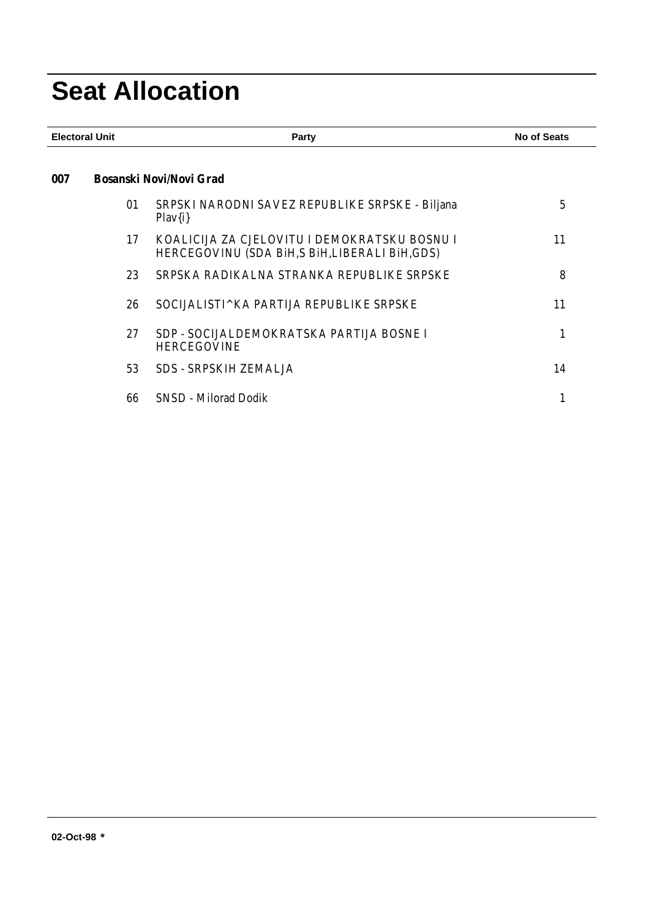# **Seat Allocation**

| <b>Bosanski Novi/Novi Grad</b><br>SRPSKI NARODNI SAVEZ REPUBLIKE SRPSKE - Biljana<br>01<br>$Play{i}$<br>KOALICIJA ZA CJELOVITU I DEMOKRATSKU BOSNU I<br>17 | 5<br>11                                 |
|------------------------------------------------------------------------------------------------------------------------------------------------------------|-----------------------------------------|
|                                                                                                                                                            |                                         |
|                                                                                                                                                            |                                         |
| HERCEGOVINU (SDA BIH, S BIH, LIBERALI BIH, GDS)                                                                                                            |                                         |
| SRPSKA RADIKALNA STRANKA REPUBLIKE SRPSKE<br>23                                                                                                            | 8                                       |
| 26<br>SOCIJALISTI^KA PARTIJA REPUBLIKE SRPSKE                                                                                                              | 11                                      |
| SDP - SOCIJALDEMOKRATSKA PARTIJA BOSNE I<br>27<br><b>HERCEGOVINE</b>                                                                                       | 1                                       |
| <b>SDS - SRPSKIH ZEMALJA</b>                                                                                                                               | 14                                      |
|                                                                                                                                                            | 1                                       |
|                                                                                                                                                            | 53<br><b>SNSD</b> - Milorad Dodik<br>66 |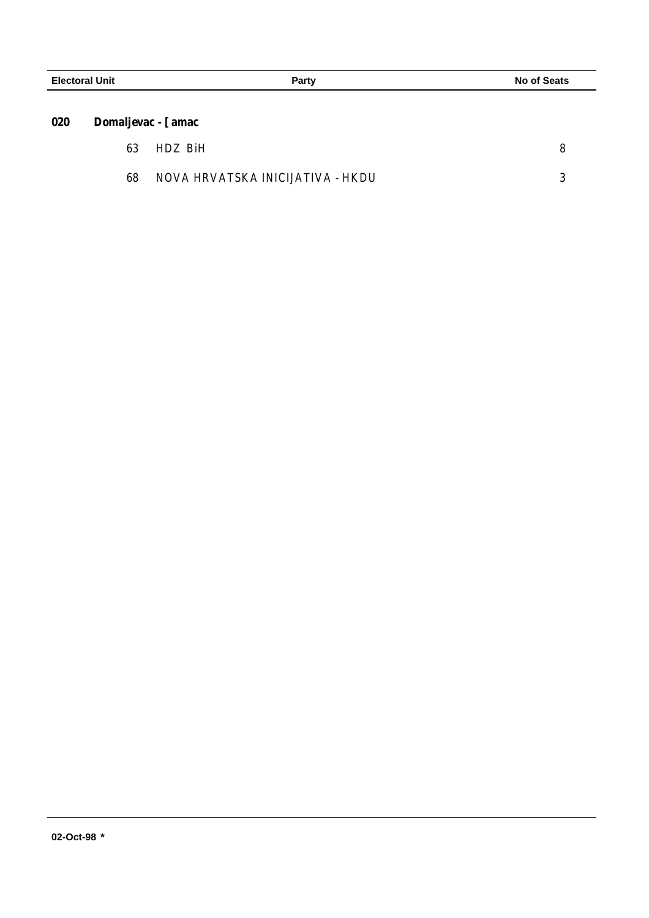| 020 | <b>Domaljevac - [amac</b> |  |
|-----|---------------------------|--|
|     |                           |  |

| 63 | HDZ BiH                          |  |
|----|----------------------------------|--|
| 68 | NOVA HRVATSKA INICIJATIVA - HKDU |  |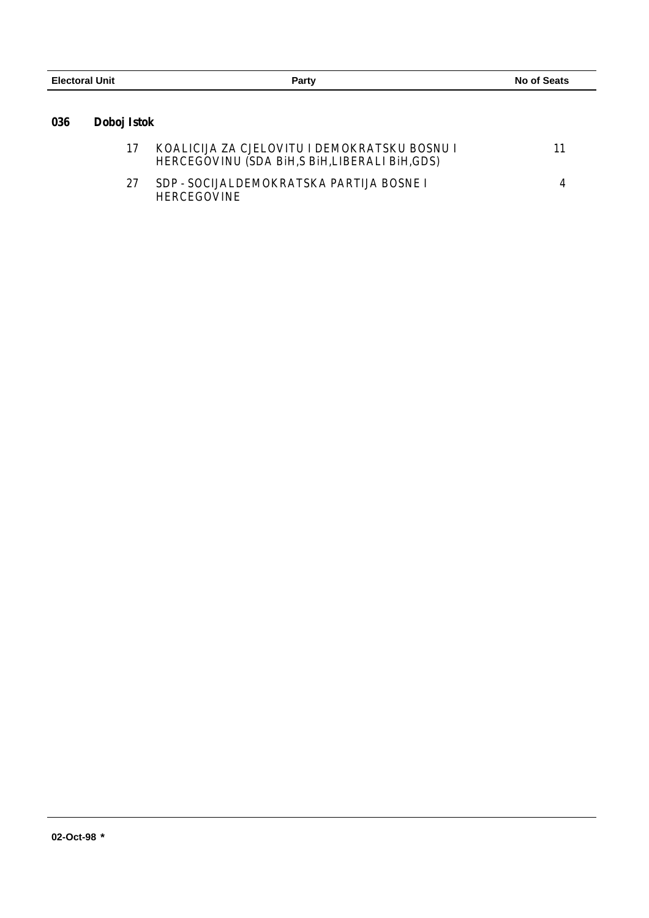| <b>Electoral Unit</b> |             | Party                                        | No of Seats |
|-----------------------|-------------|----------------------------------------------|-------------|
| 036                   | Doboj Istok |                                              |             |
|                       |             | KOALICIJA ZA CJELOVITU I DEMOKRATSKU BOSNU I |             |

|    | HERCEGOVINU (SDA BIH, S BIH, LIBERALI BIH, GDS)                |  |
|----|----------------------------------------------------------------|--|
| 27 | SDP - SOCIJALDEMOKRATSKA PARTIJA BOSNE I<br><b>HERCEGOVINE</b> |  |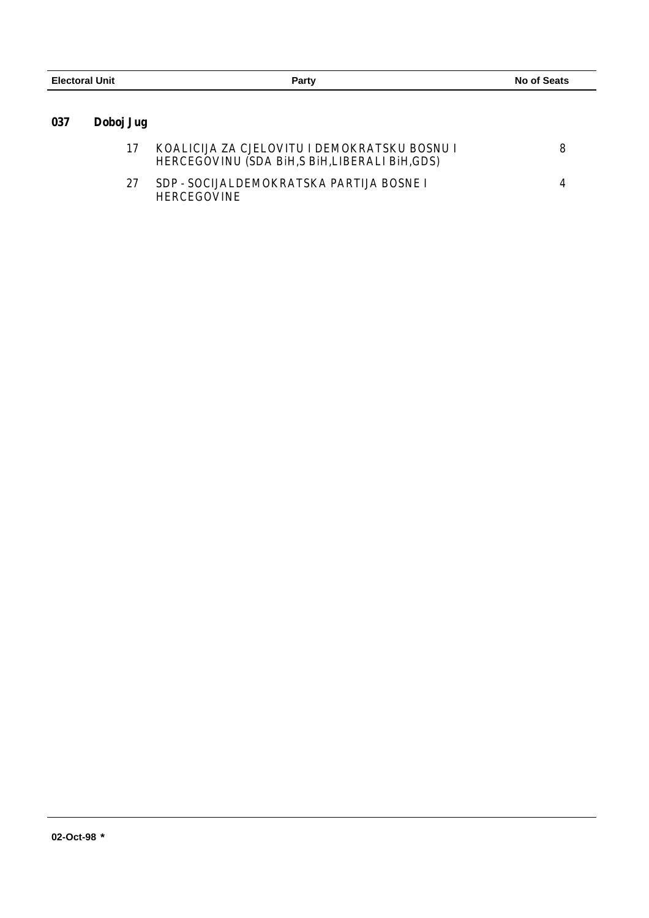| <b>Electoral Unit</b> |           | Party                                        | <b>No of Seats</b> |
|-----------------------|-----------|----------------------------------------------|--------------------|
|                       |           |                                              |                    |
| 037                   | Doboj Jug |                                              |                    |
|                       |           | KOALICIJA ZA CJELOVITU I DEMOKRATSKU BOSNU I |                    |

|     | HERCEGOVINU (SDA BIH,S BIH,LIBERALI BIH,GDS)                   |  |
|-----|----------------------------------------------------------------|--|
| -27 | SDP - SOCIJALDEMOKRATSKA PARTIJA BOSNE I<br><b>HERCEGOVINE</b> |  |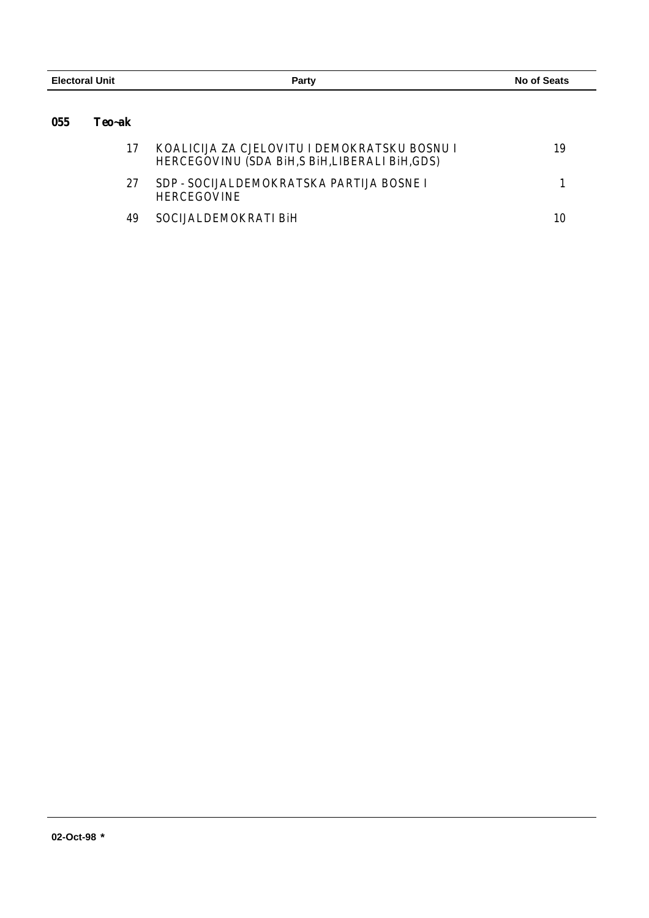| <b>Electoral Unit</b> |        | Party                                                                                           | <b>No of Seats</b> |
|-----------------------|--------|-------------------------------------------------------------------------------------------------|--------------------|
| 055                   | Teo~ak |                                                                                                 |                    |
|                       | 17     | KOALICIJA ZA CJELOVITU I DEMOKRATSKU BOSNU I<br>HERCEGOVINU (SDA BIH, S BIH, LIBERALI BIH, GDS) | 19                 |
|                       | 27     | SDP - SOCIJALDEMOKRATSKA PARTIJA BOSNE I<br><b>HERCEGOVINE</b>                                  |                    |

49 SOCIJALDEMOKRATI BiH 10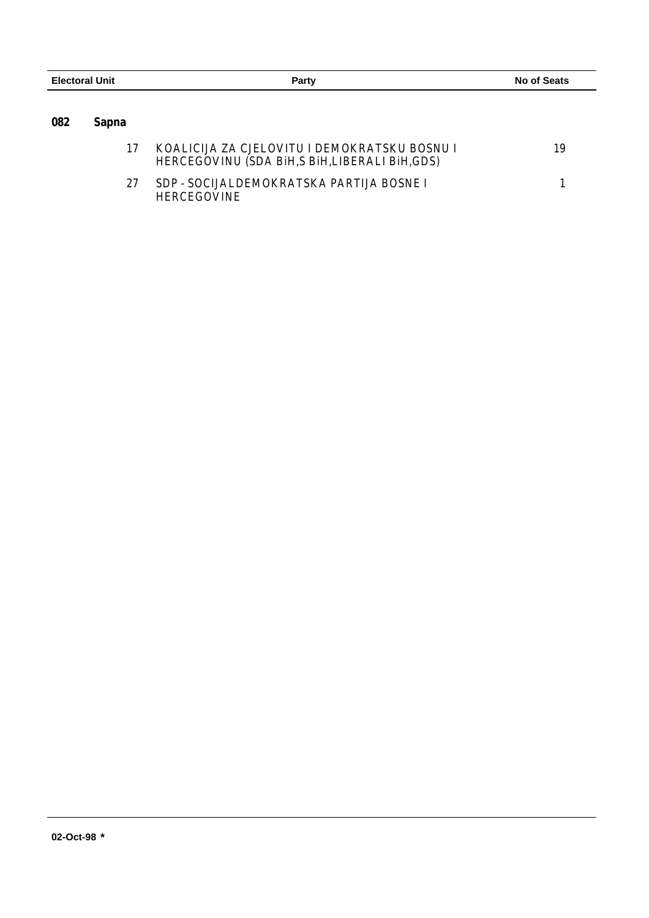| <b>Electoral Unit</b> |              | Party                                                                                        | <b>No of Seats</b> |
|-----------------------|--------------|----------------------------------------------------------------------------------------------|--------------------|
|                       |              |                                                                                              |                    |
| 082                   | <b>Sapna</b> |                                                                                              |                    |
|                       | 17           | KOALICIJA ZA CJELOVITU I DEMOKRATSKU BOSNU I<br>HERCEGOVINU (SDA BiH,S BiH,LIBERALI BiH,GDS) | 19                 |
|                       | 27           | SDP - SOCIJALDEMOKRATSKA PARTIJA BOSNE I<br><b>HERCEGOVINE</b>                               |                    |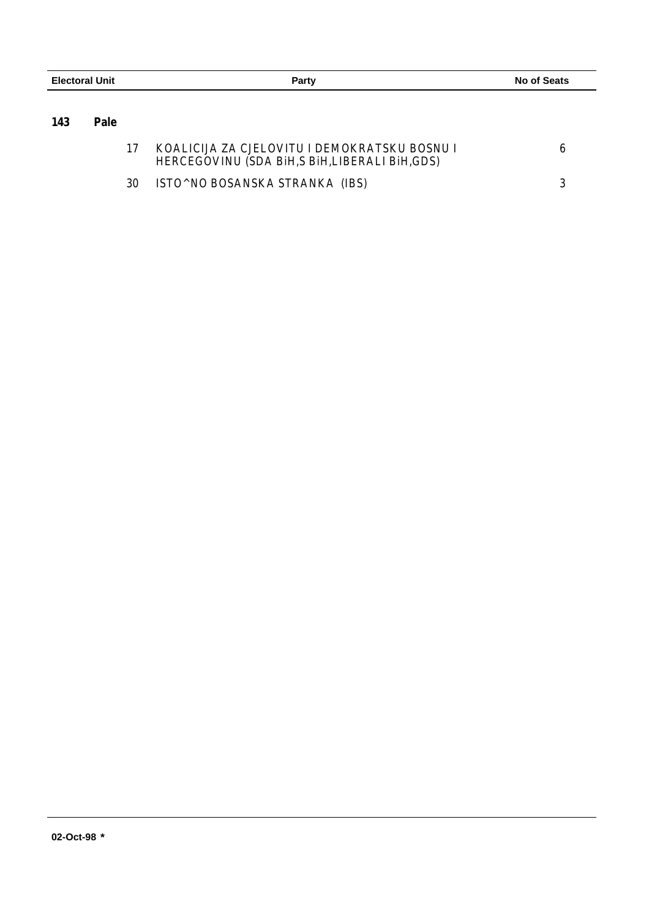|     | <b>Electoral Unit</b> |  | Party                                                                                         |  | No of Seats |  |
|-----|-----------------------|--|-----------------------------------------------------------------------------------------------|--|-------------|--|
| 143 | Pale                  |  |                                                                                               |  |             |  |
|     |                       |  | KOALICIJA ZA CJELOVITU I DEMOKRATSKU BOSNU I<br>UDDADAALIIUU (AD L DJU A DJU LUDDALL DJU ADA) |  |             |  |

|      | HERCEGOVINU (SDA BIH, S BIH, LIBERALI BIH, GDS) |  |
|------|-------------------------------------------------|--|
| - 30 | ISTO^NO BOSANSKA STRANKA (IBS)                  |  |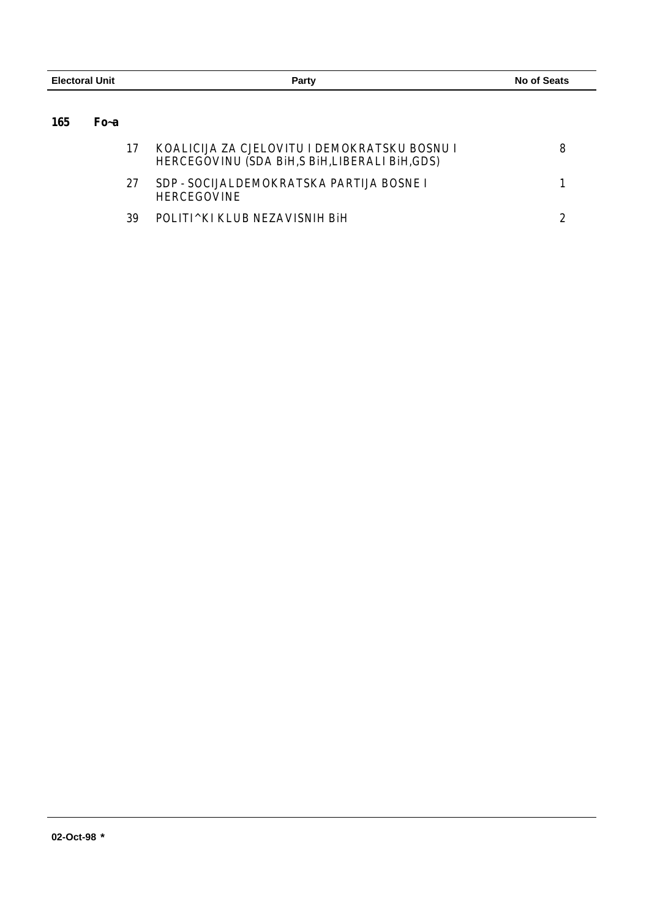| <b>Electoral Unit</b> |      | Party                                                                                           | No of Seats |  |
|-----------------------|------|-------------------------------------------------------------------------------------------------|-------------|--|
| 165                   | Fo~a |                                                                                                 |             |  |
|                       | 17   | KOALICIJA ZA CJELOVITU I DEMOKRATSKU BOSNU I<br>HERCEGOVINU (SDA BIH, S BIH, LIBERALI BIH, GDS) | 8           |  |
|                       | 27   | SDP - SOCIJALDEMOKRATSKA PARTIJA BOSNE I<br><b>HERCEGOVINE</b>                                  |             |  |
|                       | 39   | POLITI^KI KLUB NEZAVISNIH BiH                                                                   |             |  |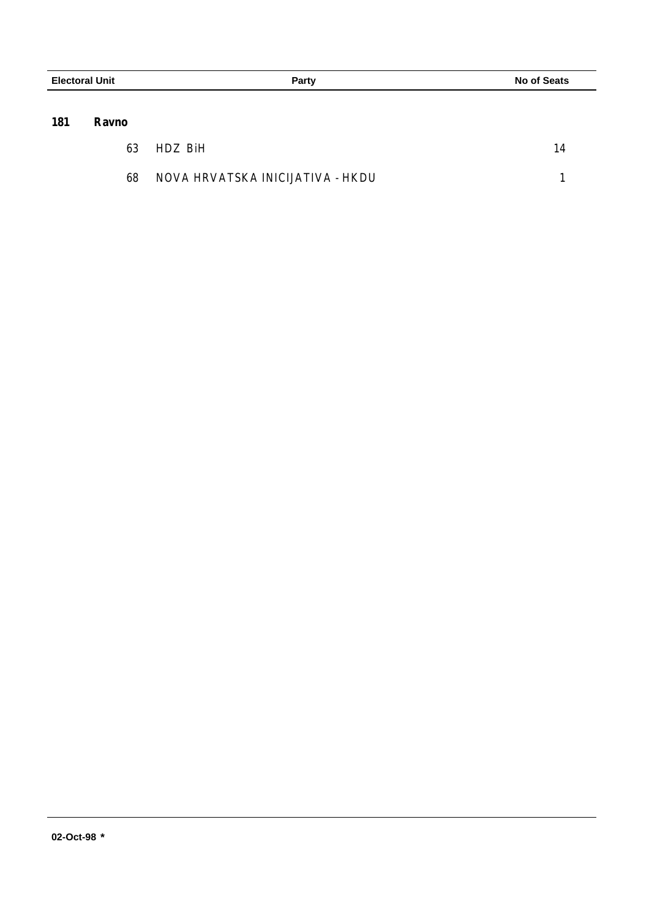| <b>Electoral Unit</b> |              |         | <b>Party</b> | <b>No of Seats</b> |
|-----------------------|--------------|---------|--------------|--------------------|
| 181                   | <b>Ravno</b> |         |              |                    |
|                       | 63           | HDZ BiH |              | 14                 |

| 68 | NOVA HRVATSKA INICIJATIVA - HKDU |  |
|----|----------------------------------|--|
|    |                                  |  |

J.  $\overline{\phantom{0}}$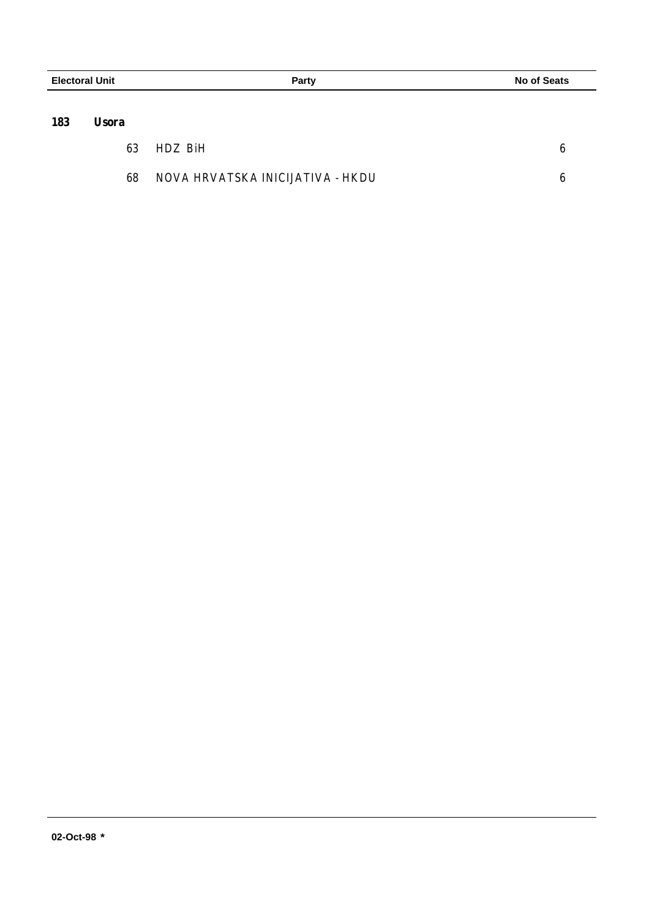| <b>Electoral Unit</b> |              | <b>Party</b> | <b>No of Seats</b> |   |
|-----------------------|--------------|--------------|--------------------|---|
|                       |              |              |                    |   |
| 183                   | <b>Usora</b> |              |                    |   |
|                       | 63           | HDZ BiH      |                    | 6 |

÷,  $\overline{\phantom{0}}$ 

| 68 | NOVA HRVATSKA INICIJATIVA - HKDU |  |
|----|----------------------------------|--|
|----|----------------------------------|--|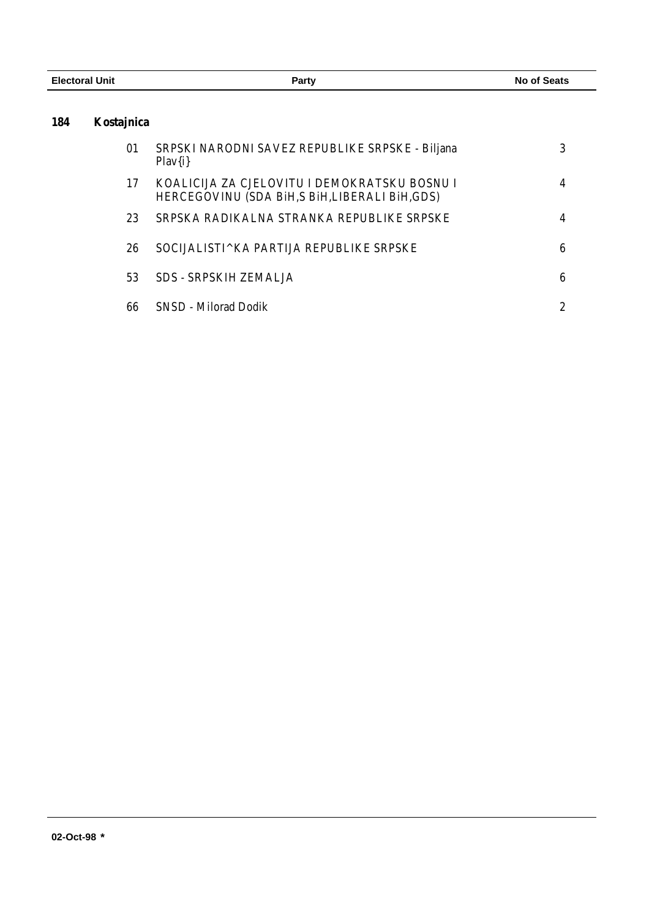| <b>Electoral Unit</b> |            | Party                                                                                           | <b>No of Seats</b> |
|-----------------------|------------|-------------------------------------------------------------------------------------------------|--------------------|
| 184                   | Kostajnica |                                                                                                 |                    |
|                       | 01         | SRPSKI NARODNI SAVEZ REPUBLIKE SRPSKE - Biljana<br>$Play{i}$                                    | 3                  |
|                       | 17         | KOALICIJA ZA CJELOVITU I DEMOKRATSKU BOSNU I<br>HERCEGOVINU (SDA BIH, S BIH, LIBERALI BIH, GDS) | 4                  |
|                       | 23         | SRPSKA RADIKALNA STRANKA REPUBLIKE SRPSKE                                                       | 4                  |
|                       | 26         | SOCIJALISTI^KA PARTIJA REPUBLIKE SRPSKE                                                         | 6                  |
|                       | 53         | <b>SDS - SRPSKIH ZEMALJA</b>                                                                    | 6                  |
|                       | 66         | <b>SNSD - Milorad Dodik</b>                                                                     | $\boldsymbol{2}$   |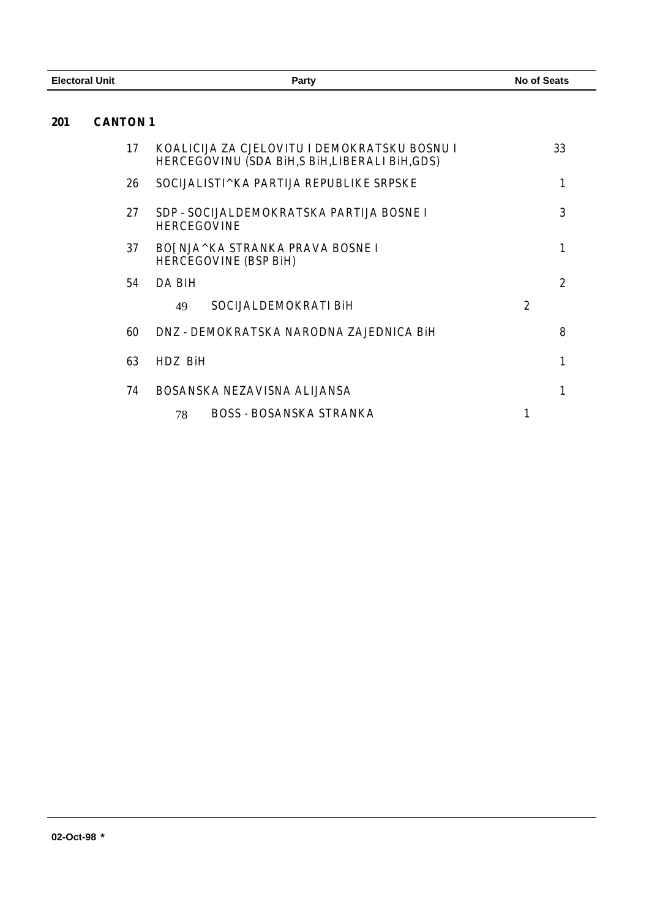| <b>Electoral Unit</b> | Party | <b>No of Seats</b> |
|-----------------------|-------|--------------------|
|                       |       |                    |

## **CANTON 1**

| 17 | KOALICIJA ZA CJELOVITU I DEMOKRATSKU BOSNU I<br>HERCEGOVINU (SDA BIH,S BIH,LIBERALI BIH,GDS) |                | 33             |
|----|----------------------------------------------------------------------------------------------|----------------|----------------|
| 26 | SOCIJALISTI^KA PARTIJA REPUBLIKE SRPSKE                                                      |                |                |
| 27 | SDP - SOCIJALDEMOKRATSKA PARTIJA BOSNE I<br><b>HERCEGOVINE</b>                               |                | 3              |
| 37 | BOJ NJA^KA STRANKA PRAVA BOSNE I<br><b>HERCEGOVINE (BSP BiH)</b>                             |                |                |
| 54 | DA BIH                                                                                       |                | $\overline{2}$ |
|    | SOCIJALDEMOKRATI BIH<br>49                                                                   | $\overline{2}$ |                |
| 60 | DNZ - DEMOKRATSKA NARODNA ZAJEDNICA BIH                                                      |                | 8              |
| 63 | HDZ RiH                                                                                      |                |                |
| 74 | BOSANSKA NEZAVISNA ALIJANSA                                                                  |                |                |
|    | <b>BOSS - BOSANSKA STRANKA</b><br>78                                                         |                |                |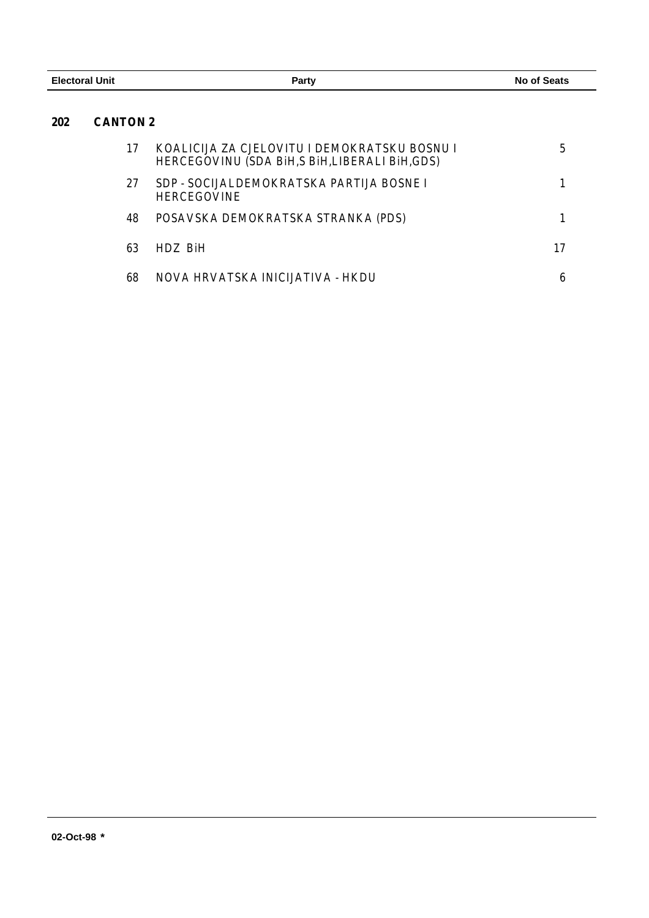| <b>Electoral Unit</b> |                 | Party                                                                                           | No of Seats |  |
|-----------------------|-----------------|-------------------------------------------------------------------------------------------------|-------------|--|
| 202                   | <b>CANTON 2</b> |                                                                                                 |             |  |
|                       | 17              | KOALICIJA ZA CJELOVITU I DEMOKRATSKU BOSNU I<br>HERCEGOVINU (SDA BIH, S BIH, LIBERALI BIH, GDS) | 5           |  |
|                       | 27              | SDP - SOCIJALDEMOKRATSKA PARTIJA BOSNE I<br><b>HERCEGOVINE</b>                                  |             |  |
|                       | 48              | POSAVSKA DEMOKRATSKA STRANKA (PDS)                                                              |             |  |
|                       | 63              | HDZ BiH                                                                                         | 17          |  |
|                       | 68              | NOVA HRVATSKA INICIJATIVA - HKDU                                                                | 6           |  |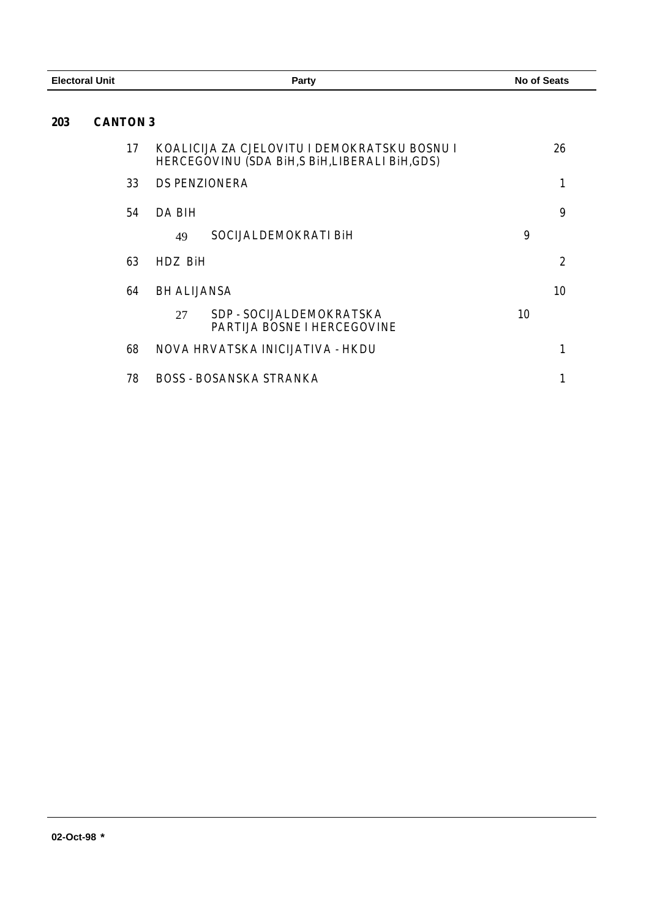| <b>Electoral Unit</b> |                 | <b>Party</b>                                                                                 | <b>No of Seats</b> |
|-----------------------|-----------------|----------------------------------------------------------------------------------------------|--------------------|
| 203                   | <b>CANTON 3</b> |                                                                                              |                    |
|                       | 17              | KOALICIJA ZA CJELOVITU I DEMOKRATSKU BOSNU I<br>HERCEGOVINU (SDA BIH,S BIH,LIBERALI BIH,GDS) | 26                 |
|                       | 33              | <b>DS PENZIONERA</b>                                                                         | $\mathbf{1}$       |
|                       | 54              | DA BIH                                                                                       | 9                  |
|                       |                 | SOCIJALDEMOKRATI BiH<br>49                                                                   | 9                  |
|                       | 63              | HDZ BiH                                                                                      | $\boldsymbol{2}$   |
|                       | 64              | <b>BH ALIJANSA</b>                                                                           | 10                 |
|                       |                 | SDP - SOCIJALDEMOKRATSKA<br>27<br>PARTIJA BOSNE I HERCEGOVINE                                | 10                 |
|                       | 68              | NOVA HRVATSKA INICIJATIVA - HKDU                                                             | 1                  |
|                       | 78              | <b>BOSS - BOSANSKA STRANKA</b>                                                               | 1                  |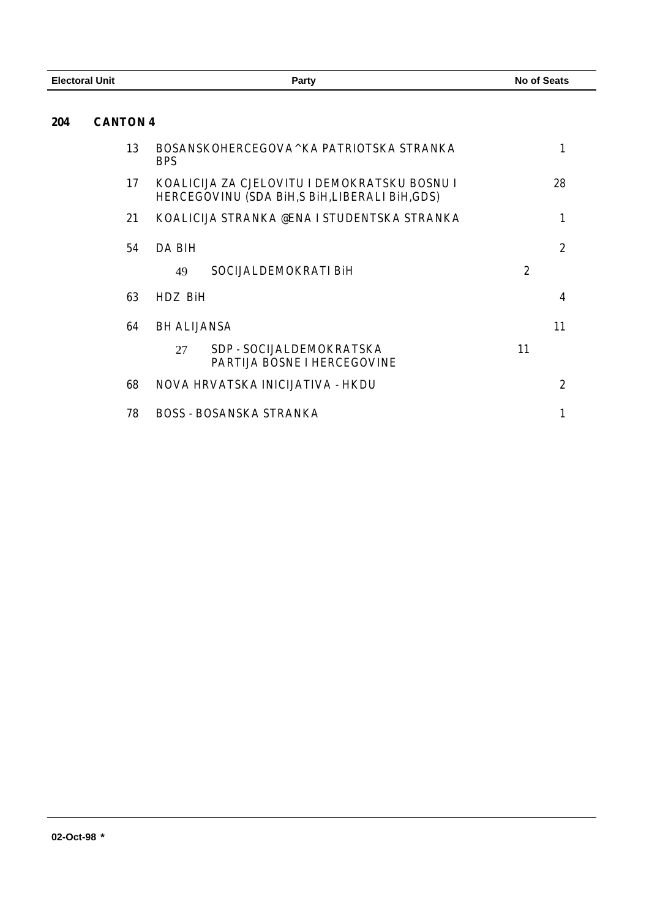| <b>Electoral Unit</b> |                 | <b>Party</b>                                                                                 | <b>No of Seats</b> |
|-----------------------|-----------------|----------------------------------------------------------------------------------------------|--------------------|
| 204                   | <b>CANTON 4</b> |                                                                                              |                    |
|                       | 13              | BOSANSKOHERCEGOVA^KA PATRIOTSKA STRANKA<br><b>BPS</b>                                        | $\mathbf{1}$       |
|                       | 17              | KOALICIJA ZA CJELOVITU I DEMOKRATSKU BOSNU I<br>HERCEGOVINU (SDA BIH,S BIH,LIBERALI BIH,GDS) | 28                 |
|                       | 21              | KOALICIJA STRANKA @ENA I STUDENTSKA STRANKA                                                  | 1                  |
|                       | 54              | <b>DA BIH</b>                                                                                | $\boldsymbol{2}$   |
|                       |                 | SOCIJALDEMOKRATI BiH<br>49                                                                   | $\overline{2}$     |
|                       | 63              | HDZ BiH                                                                                      | 4                  |
|                       | 64              | <b>BH ALIJANSA</b>                                                                           | 11                 |
|                       |                 | SDP - SOCIJALDEMOKRATSKA<br>27<br>PARTIJA BOSNE I HERCEGOVINE                                | 11                 |
|                       | 68              | NOVA HRVATSKA INICIJATIVA - HKDU                                                             | $\boldsymbol{2}$   |
|                       | 78              | <b>BOSS - BOSANSKA STRANKA</b>                                                               | 1                  |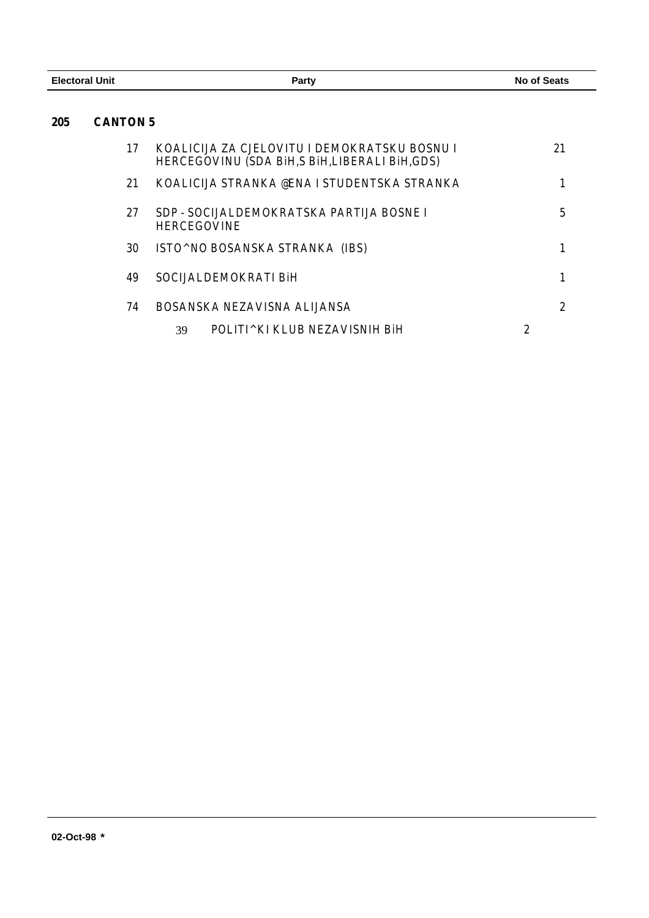| <b>Electoral Unit</b> |                 | <b>Party</b>                                                                                    | <b>No of Seats</b> |
|-----------------------|-----------------|-------------------------------------------------------------------------------------------------|--------------------|
| 205                   | <b>CANTON 5</b> |                                                                                                 |                    |
|                       | 17              | KOALICIJA ZA CJELOVITU I DEMOKRATSKU BOSNU I<br>HERCEGOVINU (SDA BIH, S BIH, LIBERALI BIH, GDS) | 21                 |
|                       | 21              | KOALICIJA STRANKA @ENA I STUDENTSKA STRANKA                                                     | 1                  |
|                       | 27              | SDP - SOCIJALDEMOKRATSKA PARTIJA BOSNE I<br><b>HERCEGOVINE</b>                                  | 5                  |
|                       | 30              | ISTO^NO BOSANSKA STRANKA (IBS)                                                                  | 1                  |
|                       | 49              | SOCIJALDEMOKRATI BiH                                                                            | 1                  |
|                       | 74              | BOSANSKA NEZAVISNA ALIJANSA                                                                     | $\mathbf{2}$       |
|                       |                 | POLITI^KI KLUB NEZAVISNIH BiH<br>39                                                             | $\boldsymbol{2}$   |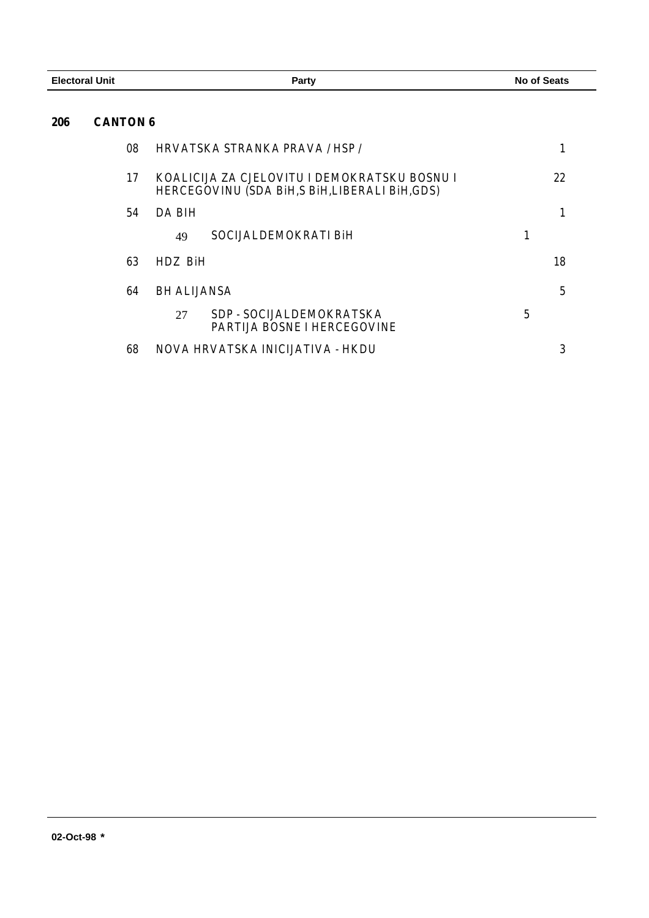| <b>Electoral Unit</b>         | <b>Party</b>                                                                                 | <b>No of Seats</b> |
|-------------------------------|----------------------------------------------------------------------------------------------|--------------------|
| <b>CANTON 6</b><br><b>206</b> |                                                                                              |                    |
| 08                            | HRVATSKA STRANKA PRAVA / HSP /                                                               | 1                  |
| 17                            | KOALICIJA ZA CJELOVITU I DEMOKRATSKU BOSNU I<br>HERCEGOVINU (SDA BIH,S BIH,LIBERALI BIH,GDS) | 22                 |
| 54                            | <b>DA BIH</b>                                                                                | $\mathbf{1}$       |
|                               | SOCIJALDEMOKRATI BiH<br>49                                                                   | 1                  |
| 63                            | HDZ BiH                                                                                      | 18                 |
| 64                            | <b>BH ALIJANSA</b>                                                                           | 5                  |
|                               | SDP - SOCIJALDEMOKRATSKA<br>27<br><b>PARTIJA BOSNE I HERCEGOVINE</b>                         | 5                  |
| 68                            | NOVA HRVATSKA INICIJATIVA - HKDU                                                             | 3                  |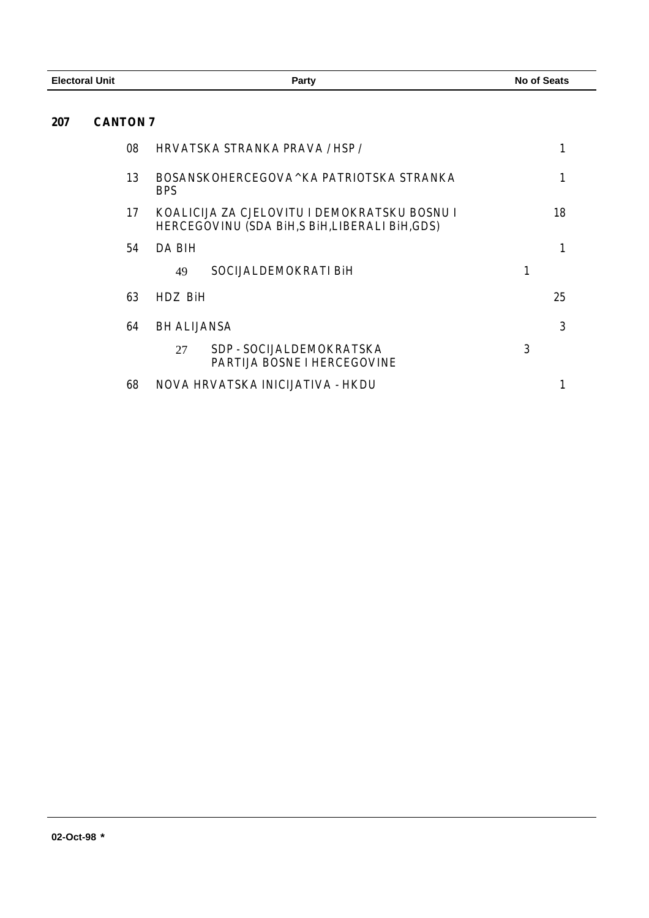| <b>Electoral Unit</b> |                 | Party                                                                                        | <b>No of Seats</b> |
|-----------------------|-----------------|----------------------------------------------------------------------------------------------|--------------------|
| 207                   | <b>CANTON 7</b> |                                                                                              |                    |
|                       | 08              | HRVATSKA STRANKA PRAVA / HSP /                                                               | 1                  |
|                       | 13              | BOSANSKOHERCEGOVA^KA PATRIOTSKA STRANKA<br><b>BPS</b>                                        | $\mathbf{1}$       |
|                       | 17              | KOALICIJA ZA CJELOVITU I DEMOKRATSKU BOSNU I<br>HERCEGOVINU (SDA BIH,S BIH,LIBERALI BIH,GDS) | 18                 |
|                       | 54              | <b>DA BIH</b>                                                                                | $\mathbf{1}$       |
|                       |                 | SOCIJALDEMOKRATI BiH<br>49                                                                   | 1                  |
|                       | 63              | HDZ BiH                                                                                      | 25                 |
|                       | 64              | <b>BH ALIJANSA</b>                                                                           | 3                  |
|                       |                 | SDP - SOCIJALDEMOKRATSKA<br>27<br>PARTIJA BOSNE I HERCEGOVINE                                | 3                  |
|                       | 68              | NOVA HRVATSKA INICIJATIVA - HKDU                                                             | 1                  |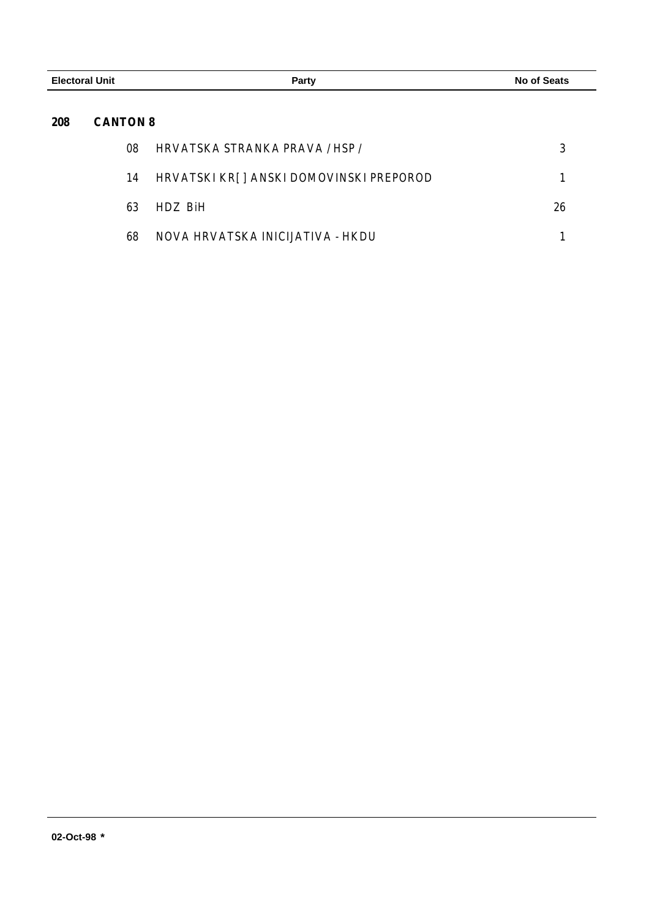| <b>Electoral Unit</b> |                 | Party                                   | <b>No of Seats</b> |  |
|-----------------------|-----------------|-----------------------------------------|--------------------|--|
| 208                   | <b>CANTON 8</b> |                                         |                    |  |
|                       | 08              | HRVATSKA STRANKA PRAVA / HSP /          | 3                  |  |
|                       | 14              | HRVATSKI KR[] ANSKI DOMOVINSKI PREPOROD |                    |  |
|                       | 63              | HDZ BiH                                 | 26                 |  |
|                       | 68              | NOVA HRVATSKA INICIJATIVA - HKDU        |                    |  |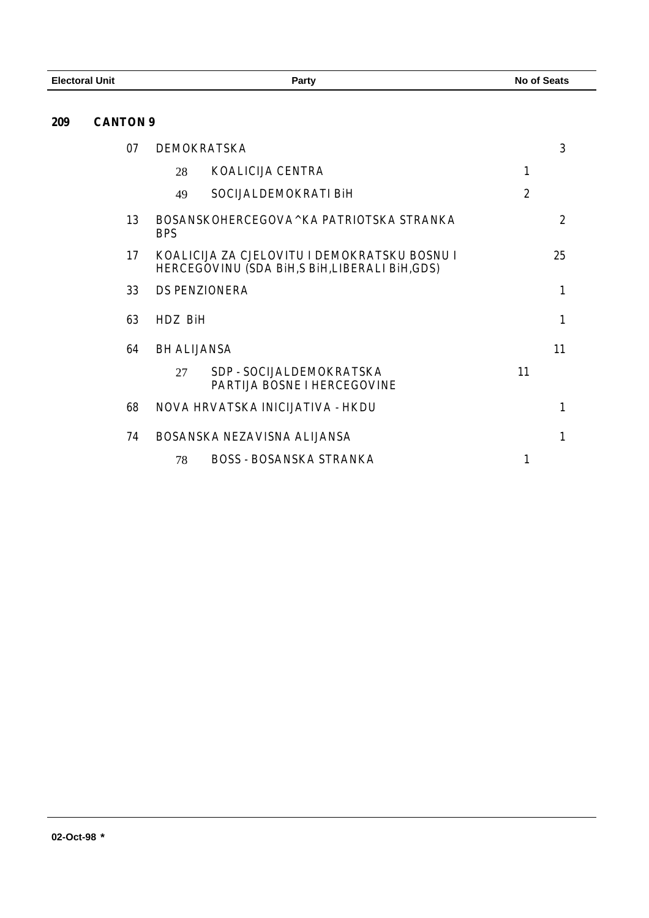## **CANTON 9**

| 07 | <b>DEMOKRATSKA</b><br>3          |                                                                                                 |                |
|----|----------------------------------|-------------------------------------------------------------------------------------------------|----------------|
|    | 28                               | <b>KOALICIJA CENTRA</b><br>1                                                                    |                |
|    | 49                               | $\overline{2}$<br>SOCIJALDEMOKRATI BiH                                                          |                |
| 13 | <b>BPS</b>                       | BOSANSKOHERCEGOVA^KA PATRIOTSKA STRANKA                                                         | $\overline{2}$ |
| 17 |                                  | KOALICIJA ZA CJELOVITU I DEMOKRATSKU BOSNU I<br>HERCEGOVINU (SDA BIH, S BIH, LIBERALI BIH, GDS) | 25             |
| 33 | <b>DS PENZIONERA</b>             |                                                                                                 | $\mathbf{1}$   |
| 63 | HDZ BiH                          |                                                                                                 | 1              |
| 64 | <b>BH ALIJANSA</b><br>11         |                                                                                                 |                |
|    | 27                               | SDP - SOCIJAL DEMOKRATSKA<br>11<br><b>PARTIJA BOSNE I HERCEGOVINE</b>                           |                |
| 68 | NOVA HRVATSKA INICIJATIVA - HKDU |                                                                                                 | 1              |
| 74 | BOSANSKA NEZAVISNA ALIJANSA      |                                                                                                 | $\mathbf{1}$   |
|    | 78                               | <b>BOSS - BOSANSKA STRANKA</b><br>1                                                             |                |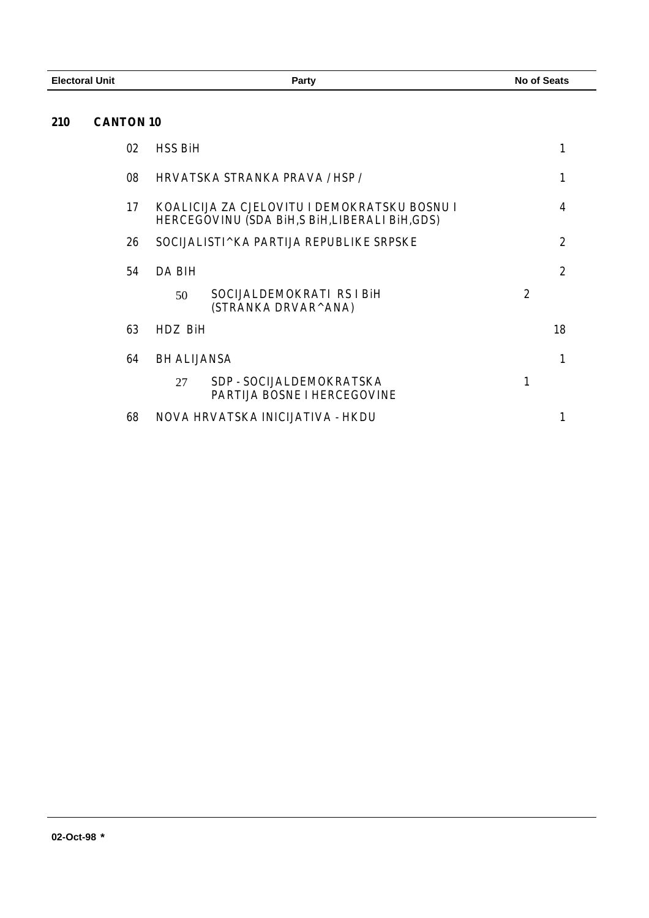**CANTON 10**

| 02 | <b>HSS BiH</b>     |                                                                                                 |   | 1              |
|----|--------------------|-------------------------------------------------------------------------------------------------|---|----------------|
| 08 |                    | HRVATSKA STRANKA PRAVA / HSP /                                                                  |   | 1              |
| 17 |                    | KOALICIJA ZA CJELOVITU I DEMOKRATSKU BOSNU I<br>HERCEGOVINU (SDA BIH, S BIH, LIBERALI BIH, GDS) |   | 4              |
| 26 |                    | SOCIJALISTI^KA PARTIJA REPUBLIKE SRPSKE                                                         |   | $\overline{2}$ |
| 54 | DA BIH             |                                                                                                 |   | $\mathbf{2}$   |
|    | 50                 | SOCIJALDEMOKRATI RS I BiH<br>(STRANKA DRVAR^ANA)                                                | 2 |                |
| 63 | HDZ BiH            |                                                                                                 |   | 18             |
| 64 | <b>BH ALIJANSA</b> |                                                                                                 |   | 1              |
|    | 27                 | SDP - SOCIJALDEMOKRATSKA<br>PARTIJA BOSNE I HERCEGOVINE                                         |   |                |
| 68 |                    | NOVA HRVATSKA INICIJATIVA - HKDU                                                                |   |                |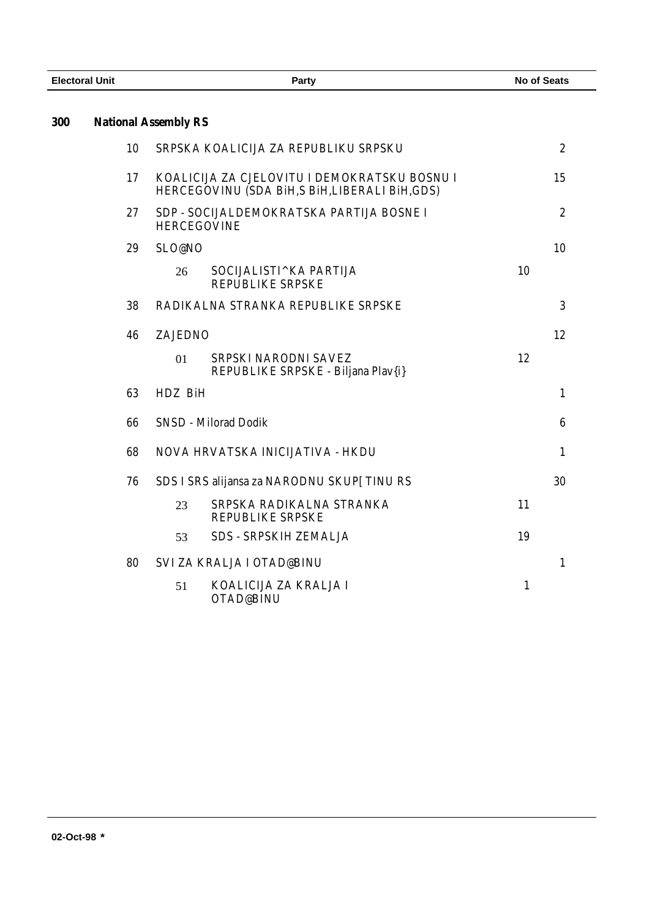| <b>Electoral Unit</b> |                             | Party          |                                                                                              | <b>No of Seats</b> |                  |
|-----------------------|-----------------------------|----------------|----------------------------------------------------------------------------------------------|--------------------|------------------|
| 300                   | <b>National Assembly RS</b> |                |                                                                                              |                    |                  |
|                       | 10                          |                | SRPSKA KOALICIJA ZA REPUBLIKU SRPSKU                                                         |                    | $\boldsymbol{2}$ |
|                       | 17                          |                | KOALICIJA ZA CJELOVITU I DEMOKRATSKU BOSNU I<br>HERCEGOVINU (SDA BiH,S BiH,LIBERALI BiH,GDS) |                    | 15               |
|                       | 27                          |                | SDP - SOCIJALDEMOKRATSKA PARTIJA BOSNE I<br><b>HERCEGOVINE</b>                               |                    | $\overline{2}$   |
|                       | 29                          | SLO@NO         |                                                                                              |                    | 10               |
|                       |                             | 26             | SOCIJALISTI^KA PARTIJA<br><b>REPUBLIKE SRPSKE</b>                                            | 10                 |                  |
|                       | 38                          |                | RADIKALNA STRANKA REPUBLIKE SRPSKE                                                           |                    | 3                |
|                       | 46                          | <b>ZAJEDNO</b> |                                                                                              |                    | 12               |
|                       |                             | 01             | SRPSKI NARODNI SAVEZ<br>REPUBLIKE SRPSKE - Biljana Plav{i}                                   | 12                 |                  |
|                       | 63                          | HDZ BiH        |                                                                                              |                    | $\mathbf{1}$     |
|                       | 66                          |                | <b>SNSD - Milorad Dodik</b>                                                                  |                    | $6\phantom{1}6$  |
|                       | 68                          |                | NOVA HRVATSKA INICIJATIVA - HKDU                                                             |                    | $\mathbf{1}$     |
|                       | 76                          |                | SDS I SRS alijansa za NARODNU SKUP [TINU RS                                                  |                    | 30               |
|                       |                             | 23             | SRPSKA RADIKALNA STRANKA<br>REPUBLIKE SRPSKE                                                 | 11                 |                  |
|                       |                             | 53             | <b>SDS - SRPSKIH ZEMALJA</b>                                                                 | 19                 |                  |
|                       | 80                          |                | <b>SVI ZA KRALJA I OTAD@BINU</b>                                                             |                    | $\mathbf{1}$     |
|                       |                             | 51             | KOALICIJA ZA KRALJA I<br>OTAD@BINU                                                           | $\mathbf{1}$       |                  |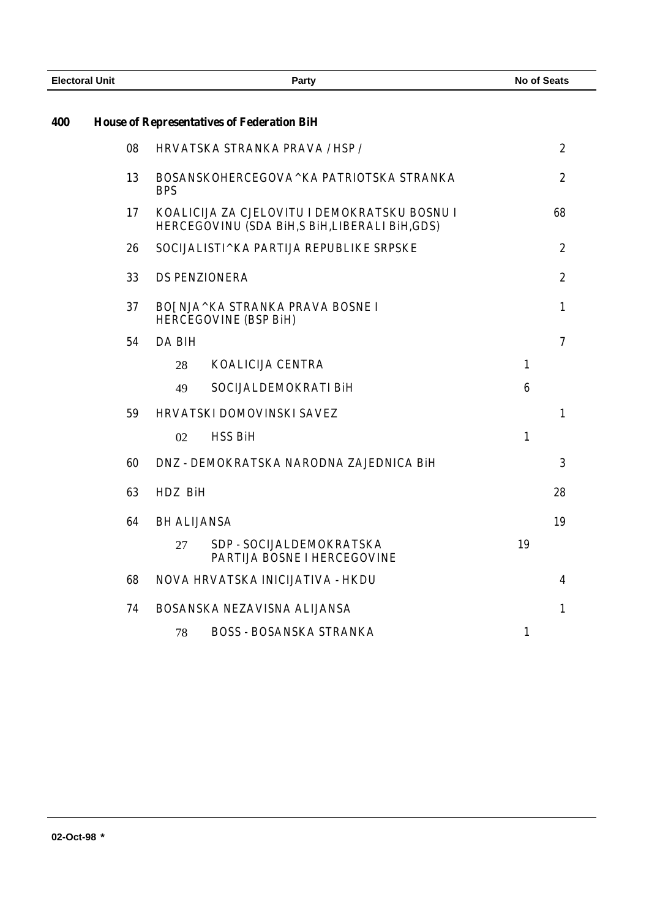| <b>Electoral Unit</b> |    | Party                                                                                        | <b>No of Seats</b> |                  |
|-----------------------|----|----------------------------------------------------------------------------------------------|--------------------|------------------|
| 400                   |    | <b>House of Representatives of Federation BiH</b>                                            |                    |                  |
|                       | 08 | HRVATSKA STRANKA PRAVA / HSP /                                                               |                    | $\boldsymbol{2}$ |
|                       | 13 | BOSANSKOHERCEGOVA^KA PATRIOTSKA STRANKA<br><b>BPS</b>                                        |                    | $\overline{2}$   |
|                       | 17 | KOALICIJA ZA CJELOVITU I DEMOKRATSKU BOSNU I<br>HERCEGOVINU (SDA BiH,S BiH,LIBERALI BiH,GDS) |                    | 68               |
|                       | 26 | SOCIJALISTI^KA PARTIJA REPUBLIKE SRPSKE                                                      |                    | $\boldsymbol{2}$ |
|                       | 33 | <b>DS PENZIONERA</b>                                                                         |                    | $\overline{2}$   |
|                       | 37 | BO[NJA^KA STRANKA PRAVA BOSNE I<br><b>HERCEGOVINE (BSP BiH)</b>                              |                    | $\mathbf{1}$     |
|                       | 54 | <b>DA BIH</b>                                                                                |                    | $\overline{7}$   |
|                       |    | <b>KOALICIJA CENTRA</b><br>28                                                                | $\mathbf{1}$       |                  |
|                       |    | SOCIJALDEMOKRATI BiH<br>49                                                                   | $6\phantom{1}6$    |                  |
|                       | 59 | HRVATSKI DOMOVINSKI SAVEZ                                                                    |                    | $\mathbf{1}$     |
|                       |    | <b>HSS BiH</b><br>02                                                                         | $\mathbf{1}$       |                  |
|                       | 60 | DNZ - DEMOKRATSKA NARODNA ZAJEDNICA BiH                                                      |                    | 3                |
|                       | 63 | HDZ BiH                                                                                      |                    | 28               |
|                       | 64 | <b>BH ALIJANSA</b>                                                                           |                    | 19               |
|                       |    | SDP - SOCIJALDEMOKRATSKA<br>27<br>PARTIJA BOSNE I HERCEGOVINE                                | 19                 |                  |
|                       | 68 | NOVA HRVATSKA INICIJATIVA - HKDU                                                             |                    | 4                |
|                       | 74 | BOSANSKA NEZAVISNA ALIJANSA                                                                  |                    | $\mathbf{1}$     |
|                       |    | <b>BOSS - BOSANSKA STRANKA</b><br>78                                                         | $\mathbf{1}$       |                  |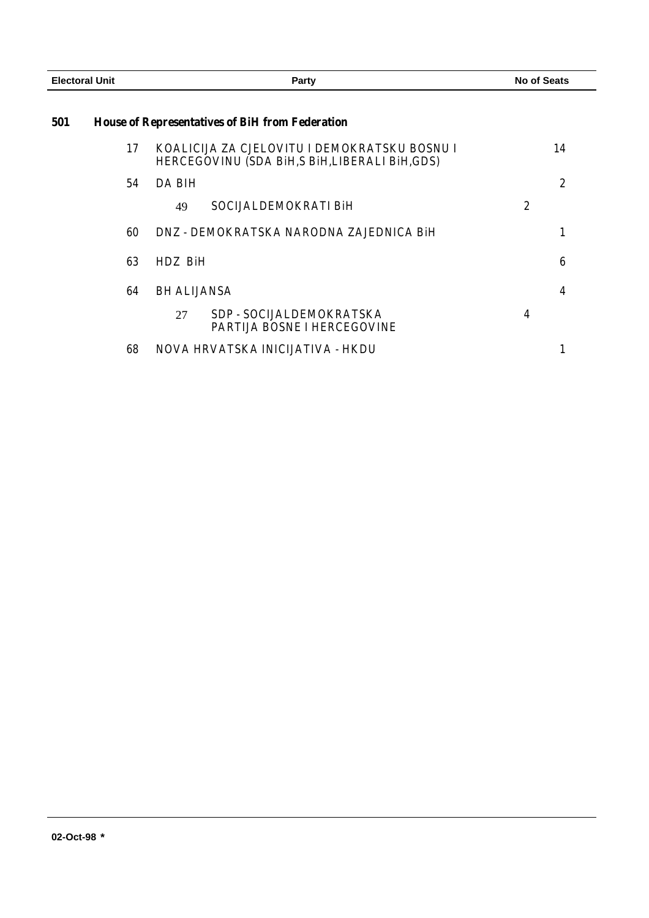| <b>Electoral Unit</b> |    | <b>Party</b>                                                                                    | <b>No of Seats</b> |  |
|-----------------------|----|-------------------------------------------------------------------------------------------------|--------------------|--|
| 501                   |    | <b>House of Representatives of BiH from Federation</b>                                          |                    |  |
|                       | 17 | KOALICIJA ZA CJELOVITU I DEMOKRATSKU BOSNU I<br>HERCEGOVINU (SDA BIH, S BIH, LIBERALI BIH, GDS) | 14                 |  |
|                       | 54 | DA BIH                                                                                          | $\overline{2}$     |  |
|                       |    | SOCIJALDEMOKRATI BiH<br>49                                                                      | 2                  |  |
|                       | 60 | DNZ - DEMOKRATSKA NARODNA ZAJEDNICA BIH                                                         |                    |  |
|                       | 63 | HDZ BiH                                                                                         | 6                  |  |
|                       | 64 | <b>BH ALIJANSA</b>                                                                              | 4                  |  |
|                       |    | SDP - SOCIJALDEMOKRATSKA<br>27<br>PARTIJA BOSNE I HERCEGOVINE                                   | 4                  |  |
|                       | 68 | NOVA HRVATSKA INICIJATIVA - HKDU                                                                |                    |  |
|                       |    |                                                                                                 |                    |  |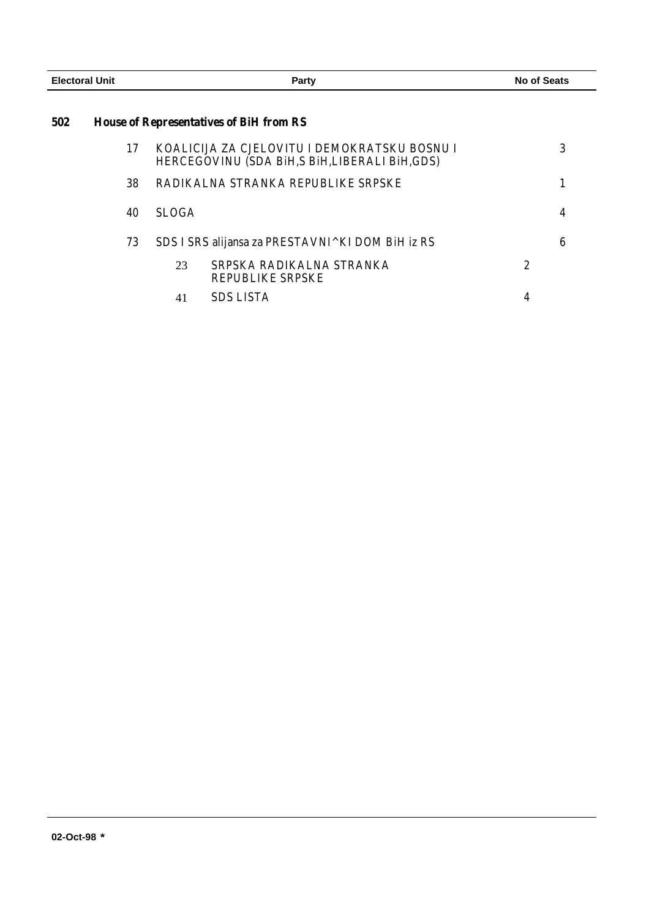| <b>Electoral Unit</b> |                                                | Party                                                                                           | No of Seats      |  |
|-----------------------|------------------------------------------------|-------------------------------------------------------------------------------------------------|------------------|--|
| 502                   | <b>House of Representatives of BiH from RS</b> |                                                                                                 |                  |  |
|                       | 17                                             | KOALICIJA ZA CJELOVITU I DEMOKRATSKU BOSNU I<br>HERCEGOVINU (SDA BIH, S BIH, LIBERALI BIH, GDS) | 3                |  |
|                       | 38                                             | RADIKALNA STRANKA REPUBLIKE SRPSKE                                                              |                  |  |
|                       | 40                                             | <b>SLOGA</b>                                                                                    | 4                |  |
|                       | 73                                             | SDS I SRS alijansa za PRESTAVNI^KI DOM BiH iz RS                                                | 6                |  |
|                       |                                                | SRPSKA RADIKALNA STRANKA<br>23<br><b>REPUBLIKE SRPSKE</b>                                       | $\boldsymbol{2}$ |  |
|                       |                                                | <b>SDS LISTA</b><br>41                                                                          | 4                |  |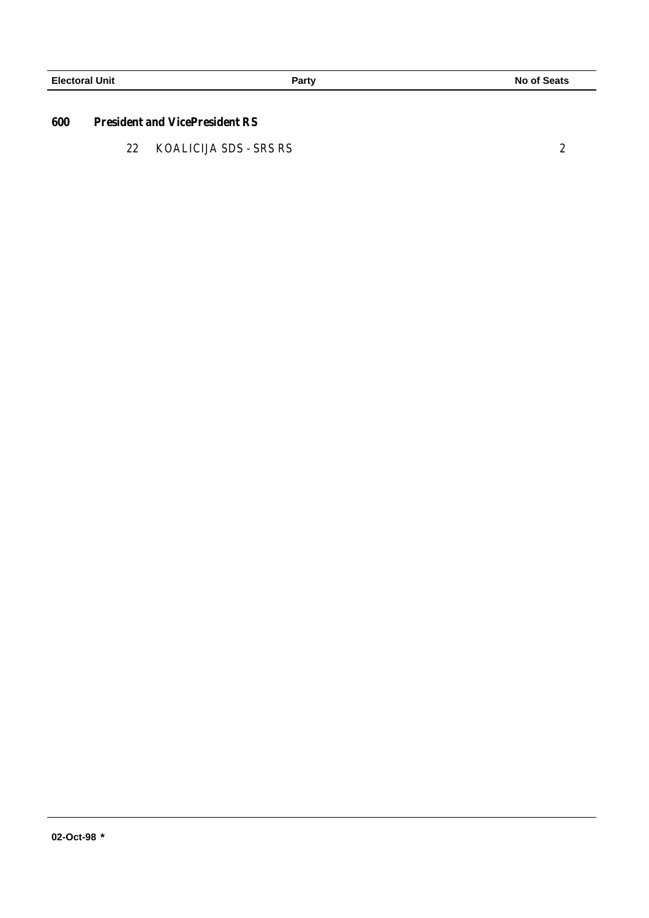#### **600 President and VicePresident RS**

22 KOALICIJA SDS - SRS RS 2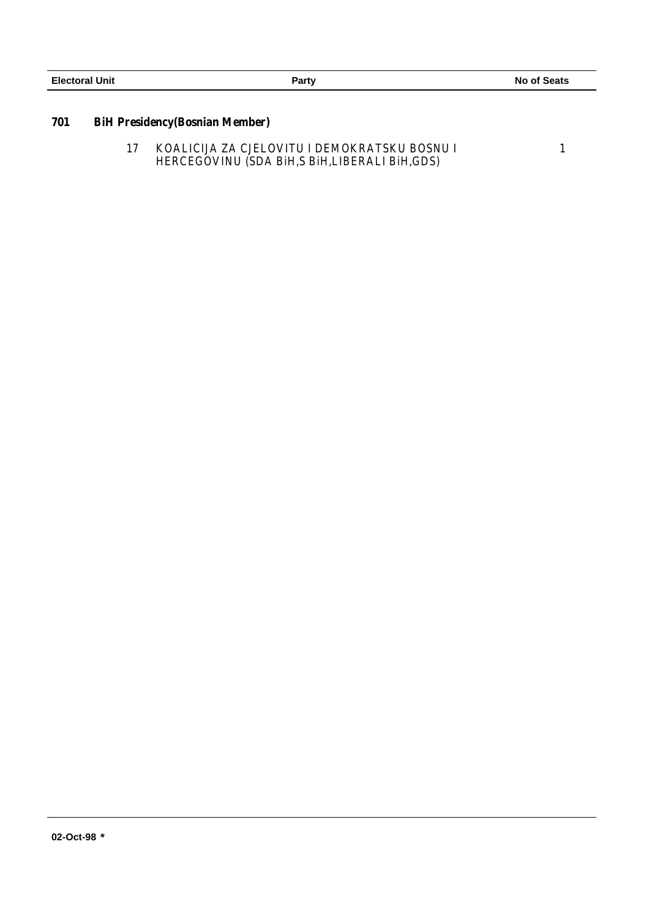## **701 BiH Presidency(Bosnian Member)**

17 KOALICIJA ZA CJELOVITU I DEMOKRATSKU BOSNU I HERCEGOVINU (SDA BiH,S BiH,LIBERALI BiH,GDS) 1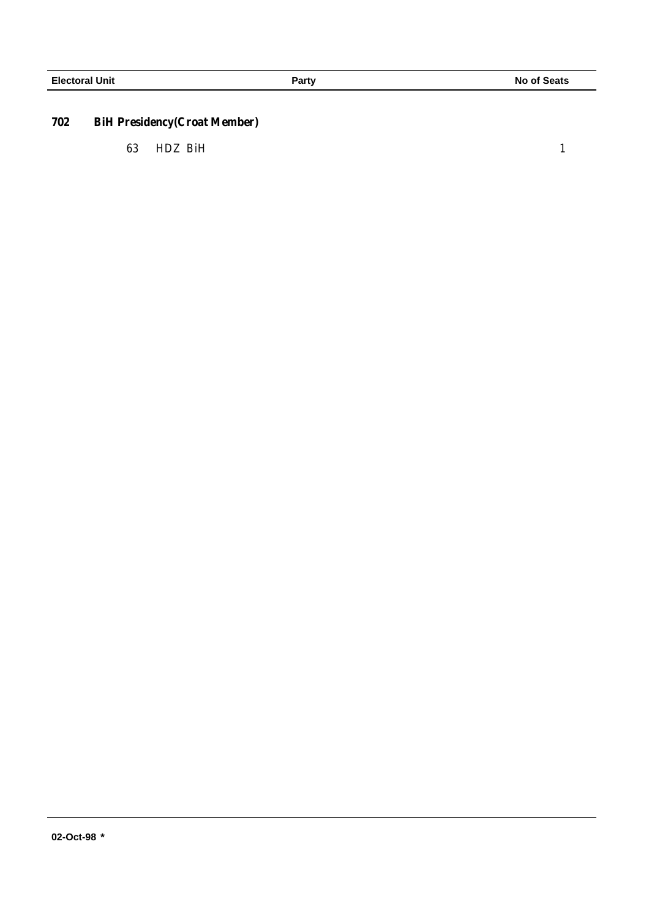# **702 BiH Presidency(Croat Member)**

63 HDZ BiH 1